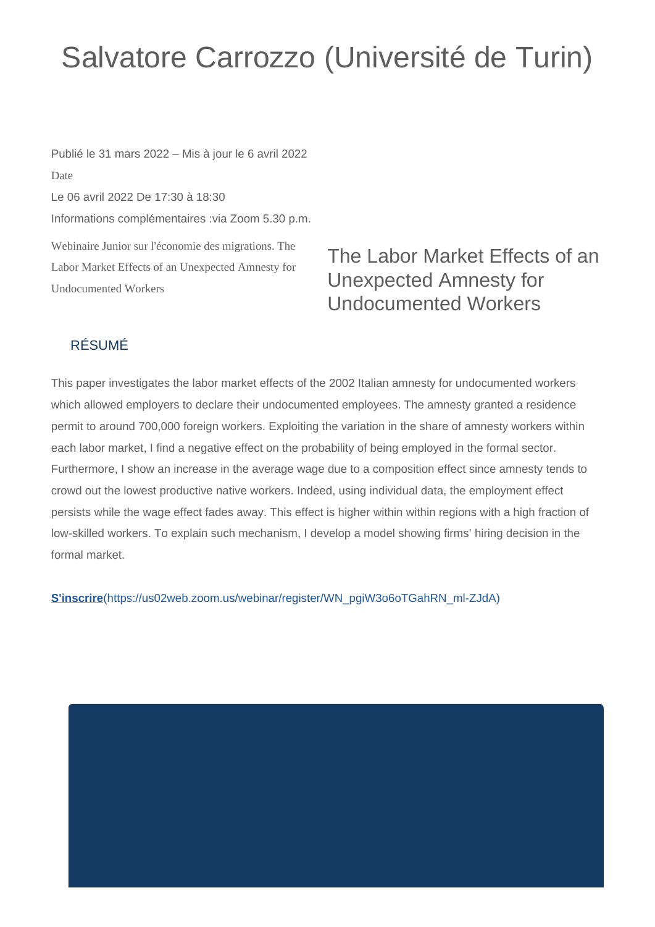## Salvatore Carrozzo (Université de Turin)

Webinaire Junior sur l'économie des migrations. The Labor Market Effects of an Unexpected Amnesty for Undocumented Workers Publié le 31 mars 2022 – Mis à jour le 6 avril 2022 Date Le 06 avril 2022 De 17:30 à 18:30 Informations complémentaires :via Zoom 5.30 p.m.

## The Labor Market Effects of an Unexpected Amnesty for Undocumented Workers

## RÉSUMÉ

This paper investigates the labor market effects of the 2002 Italian amnesty for undocumented workers which allowed employers to declare their undocumented employees. The amnesty granted a residence permit to around 700,000 foreign workers. Exploiting the variation in the share of amnesty workers within each labor market, I find a negative effect on the probability of being employed in the formal sector. Furthermore, I show an increase in the average wage due to a composition effect since amnesty tends to crowd out the lowest productive native workers. Indeed, using individual data, the employment effect persists while the wage effect fades away. This effect is higher within within regions with a high fraction of low-skilled workers. To explain such mechanism, I develop a model showing firms' hiring decision in the formal market.

**S'inscrire**[\(https://us02web.zoom.us/webinar/register/WN\\_pgiW3o6oTGahRN\\_ml-ZJdA\)](https://us02web.zoom.us/webinar/register/WN_pgiW3o6oTGahRN_ml-ZJdA)